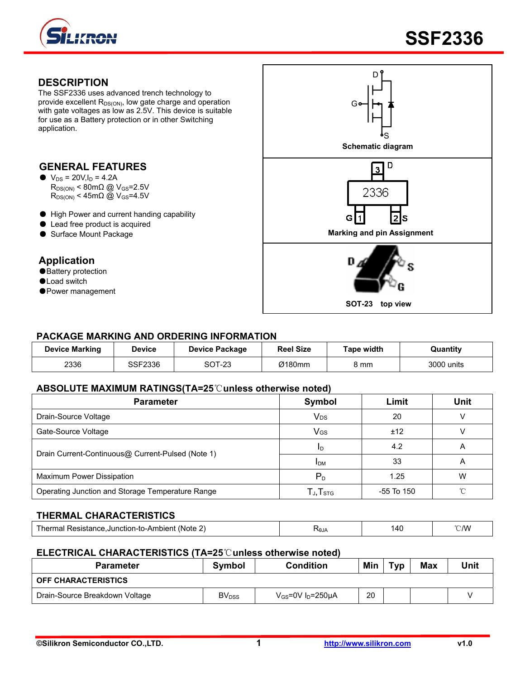

### **DESCRIPTION**

The SSF2336 uses advanced trench technology to provide excellent  $R_{DS(ON)}$ , low gate charge and operation with gate voltages as low as 2.5V. This device is suitable for use as a Battery protection or in other Switching application.

## **GENERAL FEATURES**

- $\bullet\ \text{V}_{DS} = 20 \text{V}, l_D = 4.2 \text{A}$  $R_{DS(ON)}$  < 80m $\Omega$  @ V<sub>GS</sub>=2.5V  $R_{DS(ON)}$  < 45m $\Omega$  @ V<sub>GS</sub>=4.5V
- High Power and current handing capability
- Lead free product is acquired
- 

## **Application**

- ●Battery protection
- ●Load switch
- ●Power management



## **PACKAGE MARKING AND ORDERING INFORMATION**

| <b>Device Marking</b> | Device  | Device Package | <b>Reel Size</b> | Tape width | Quantitv   |
|-----------------------|---------|----------------|------------------|------------|------------|
| 2336                  | SSF2336 | SOT-23         | Ø180mm           | 8 mm       | 3000 units |

#### **ABSOLUTE MAXIMUM RATINGS(TA=25**℃**unless otherwise noted)**

| <b>Parameter</b>                                  | Symbol                                                | Limit      | <b>Unit</b> |
|---------------------------------------------------|-------------------------------------------------------|------------|-------------|
| Drain-Source Voltage                              | <b>V<sub>DS</sub></b>                                 | 20         |             |
| Gate-Source Voltage                               | VGS                                                   | ±12        |             |
| Drain Current-Continuous@ Current-Pulsed (Note 1) | ID                                                    | 4.2        | Α           |
|                                                   | <b>IDM</b>                                            | 33         | A           |
| Maximum Power Dissipation                         | $P_D$                                                 | 1.25       | W           |
| Operating Junction and Storage Temperature Range  | ${\mathsf T}_{\mathsf J}, {\mathsf T}_{\textsf{STG}}$ | -55 To 150 |             |

## **THERMAL CHARACTERISTICS**

| (Note<br>. Acietanoc<br>ubler*<br>-Junction-to-A.<br>nei<br>наг<br>. ναρισματικά | ᠇ᡐ᠐᠕ | 14C<br>ᅲᇈ<br>$\sim$ | ነ ለለ/<br>$- \cdot \cdot \cdot$ |
|----------------------------------------------------------------------------------|------|---------------------|--------------------------------|
|                                                                                  |      |                     |                                |

#### **ELECTRICAL CHARACTERISTICS (TA=25**℃**unless otherwise noted)**

| <b>Parameter</b>               | Symbol            | <b>Condition</b>                   | Min | тур | Max | Unit |
|--------------------------------|-------------------|------------------------------------|-----|-----|-----|------|
| <b>OFF CHARACTERISTICS</b>     |                   |                                    |     |     |     |      |
| Drain-Source Breakdown Voltage | BV <sub>DSS</sub> | $V_{GS}$ =0V I <sub>D</sub> =250µA | 20  |     |     |      |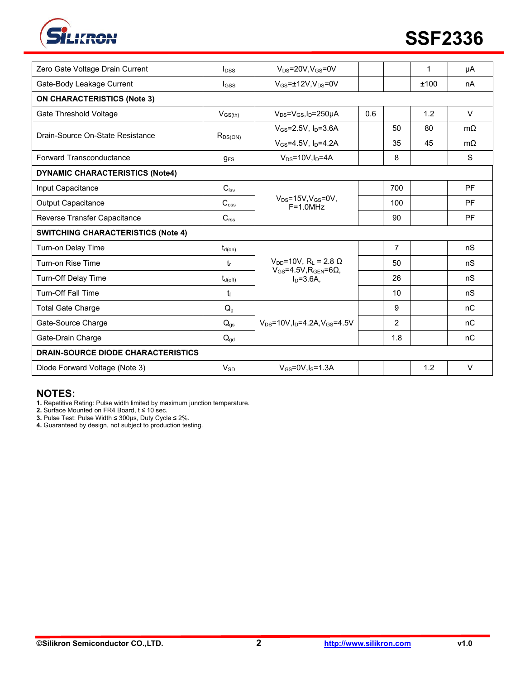

|                                           |                          |                                                                                         |     |                | 1    |           |
|-------------------------------------------|--------------------------|-----------------------------------------------------------------------------------------|-----|----------------|------|-----------|
| Zero Gate Voltage Drain Current           | $I_{DSS}$                | $V_{DS}$ =20V,V $_{GS}$ =0V                                                             |     |                |      | μA        |
| Gate-Body Leakage Current                 | $_{\text{loss}}$         | $V_{GS}$ =±12V, $V_{DS}$ =0V                                                            |     |                | ±100 | nA        |
| <b>ON CHARACTERISTICS (Note 3)</b>        |                          |                                                                                         |     |                |      |           |
| Gate Threshold Voltage                    | $V_{GS(th)}$             | $V_{DS} = V_{GS}I_D = 250 \mu A$                                                        | 0.6 |                | 1.2  | $\vee$    |
| Drain-Source On-State Resistance          | $R_{DS(ON)}$             | $V_{GS} = 2.5V$ , $I_D = 3.6A$                                                          |     | 50             | 80   | $m\Omega$ |
|                                           |                          | $V_{GS} = 4.5V$ , $I_D = 4.2A$                                                          |     | 35             | 45   | $m\Omega$ |
| Forward Transconductance                  | $g_{FS}$                 | $V_{DS}$ =10V, $I_D$ =4A                                                                |     | 8              |      | S         |
| <b>DYNAMIC CHARACTERISTICS (Note4)</b>    |                          |                                                                                         |     |                |      |           |
| Input Capacitance                         | $C_{\mathsf{Iss}}$       |                                                                                         |     | 700            |      | <b>PF</b> |
| <b>Output Capacitance</b>                 | C <sub>oss</sub>         | $V_{DS} = 15V, V_{GS} = 0V,$<br>$F = 1.0 MHz$                                           |     | 100            |      | <b>PF</b> |
| Reverse Transfer Capacitance              | C <sub>rss</sub>         |                                                                                         |     | 90             |      | <b>PF</b> |
| <b>SWITCHING CHARACTERISTICS (Note 4)</b> |                          |                                                                                         |     |                |      |           |
| Turn-on Delay Time                        | $t_{d(on)}$              |                                                                                         |     | $\overline{7}$ |      | nS        |
| Turn-on Rise Time                         | tr                       | $V_{DD}$ =10V, R <sub>L</sub> = 2.8 Ω<br>$V_{GS}$ =4.5V, R <sub>GEN</sub> =6 $\Omega$ , |     | 50             |      | nS        |
| Turn-Off Delay Time                       | $t_{d(off)}$             | $In=3.6A$ .                                                                             |     | 26             |      | nS        |
| <b>Turn-Off Fall Time</b>                 | tr                       |                                                                                         |     | 10             |      | nS        |
| <b>Total Gate Charge</b>                  | $Q_g$                    |                                                                                         |     | 9              |      | nC        |
| Gate-Source Charge                        | $\mathsf{Q}_{\text{gs}}$ | $V_{DS} = 10V \cdot \ln 4.2A \cdot V_{GS} = 4.5V$                                       |     | $\overline{2}$ |      | nC        |
| Gate-Drain Charge                         | $Q_{\text{gd}}$          |                                                                                         |     | 1.8            |      | nC        |
| <b>DRAIN-SOURCE DIODE CHARACTERISTICS</b> |                          |                                                                                         |     |                |      |           |
| Diode Forward Voltage (Note 3)            | $V_{SD}$                 | $V_{GS}$ =0V, $I_S$ =1.3A                                                               |     |                | 1.2  | $\vee$    |
|                                           |                          |                                                                                         |     |                |      |           |

# **NOTES:**

**1.** Repetitive Rating: Pulse width limited by maximum junction temperature.

**2.** Surface Mounted on FR4 Board, t ≤ 10 sec.

**3.** Pulse Test: Pulse Width ≤ 300μs, Duty Cycle ≤ 2%.

**4.** Guaranteed by design, not subject to production testing.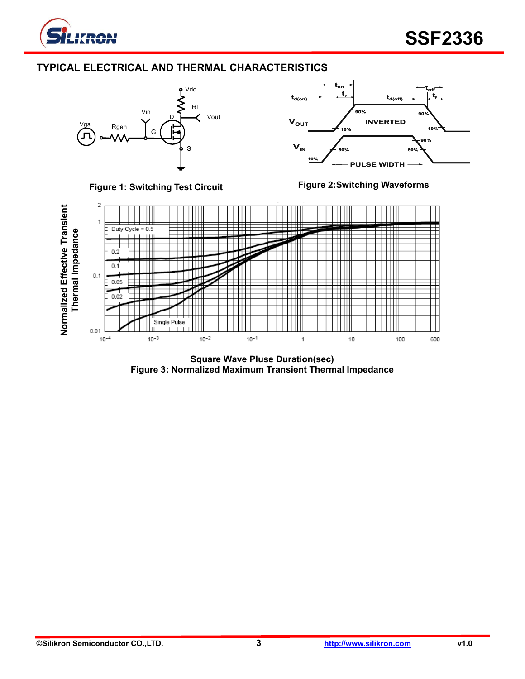

# **TYPICAL ELECTRICAL AND THERMAL CHARACTERISTICS**









**Square Wave Pluse Duration(sec) Figure 3: Normalized Maximum Transient Thermal Impedance**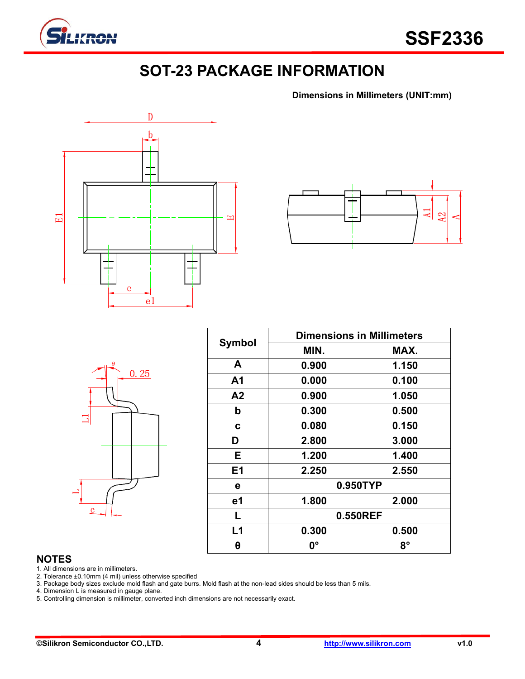

# **SOT-23 PACKAGE INFORMATION**

**Dimensions in Millimeters (UNIT:mm)**





|                | $\theta$ | 0.25 |  |
|----------------|----------|------|--|
| 5              |          |      |  |
|                |          |      |  |
| $\overline{c}$ |          |      |  |

| <b>Symbol</b>  | <b>Dimensions in Millimeters</b> |       |  |  |  |
|----------------|----------------------------------|-------|--|--|--|
|                | MIN.                             | MAX.  |  |  |  |
| A              | 0.900                            | 1.150 |  |  |  |
| A <sub>1</sub> | 0.000                            | 0.100 |  |  |  |
| A2             | 0.900                            | 1.050 |  |  |  |
| b              | 0.300                            | 0.500 |  |  |  |
| C              | 0.080                            | 0.150 |  |  |  |
| D              | 2.800                            | 3.000 |  |  |  |
| E.             | 1.200                            | 1.400 |  |  |  |
| E1             | 2.250                            | 2.550 |  |  |  |
| е              | 0.950TYP                         |       |  |  |  |
| e1             | 1.800                            | 2.000 |  |  |  |
| L              | 0.550REF                         |       |  |  |  |
| L1             | 0.300                            | 0.500 |  |  |  |
| θ              | 0°                               | 8°    |  |  |  |

# **NOTES**

1. All dimensions are in millimeters.

2. Tolerance ±0.10mm (4 mil) unless otherwise specified

3. Package body sizes exclude mold flash and gate burrs. Mold flash at the non-lead sides should be less than 5 mils.

4. Dimension L is measured in gauge plane.

5. Controlling dimension is millimeter, converted inch dimensions are not necessarily exact.